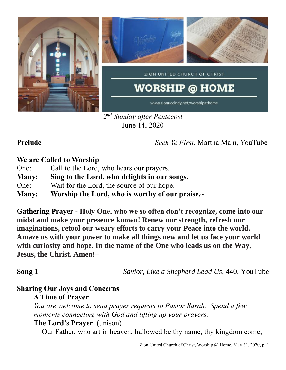

*2 nd Sunday after Pentecost* June 14, 2020

**Prelude** *Seek Ye First*, Martha Main, YouTube

## **We are Called to Worship**

- One: Call to the Lord, who hears our prayers.
- **Many: Sing to the Lord, who delights in our songs.**
- One: Wait for the Lord, the source of our hope.
- **Many: Worship the Lord, who is worthy of our praise.~**

**Gathering Prayer** - **Holy One, who we so often don't recognize, come into our midst and make your presence known! Renew our strength, refresh our imaginations, retool our weary efforts to carry your Peace into the world. Amaze us with your power to make all things new and let us face your world with curiosity and hope. In the name of the One who leads us on the Way, Jesus, the Christ. Amen!+**

**Song 1** *Savior, Like a Shepherd Lead Us,* 440, YouTube

# **Sharing Our Joys and Concerns**

**A Time of Prayer**

*You are welcome to send prayer requests to Pastor Sarah. Spend a few moments connecting with God and lifting up your prayers.*

### **The Lord's Prayer** (unison)

Our Father, who art in heaven, hallowed be thy name, thy kingdom come,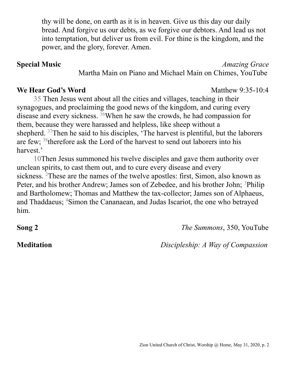thy will be done, on earth as it is in heaven. Give us this day our daily bread. And forgive us our debts, as we forgive our debtors. And lead us not into temptation, but deliver us from evil. For thine is the kingdom, and the power, and the glory, forever. Amen.

Martha Main on Piano and Michael Main on Chimes, YouTube

### **We Hear God's Word** Matthew 9:35-10:4

35 Then Jesus went about all the cities and villages, teaching in their synagogues, and proclaiming the good news of the kingdom, and curing every disease and every sickness. <sup>36</sup>When he saw the crowds, he had compassion for them, because they were harassed and helpless, like sheep without a shepherd. <sup>37</sup>Then he said to his disciples, 'The harvest is plentiful, but the laborers are few; <sup>38</sup>therefore ask the Lord of the harvest to send out laborers into his harvest.'

10Then Jesus summoned his twelve disciples and gave them authority over unclean spirits, to cast them out, and to cure every disease and every sickness. <sup>2</sup>These are the names of the twelve apostles: first, Simon, also known as Peter, and his brother Andrew; James son of Zebedee, and his brother John; <sup>3</sup>Philip and Bartholomew; Thomas and Matthew the tax-collector; James son of Alphaeus, and Thaddaeus; <sup>4</sup>Simon the Cananaean, and Judas Iscariot, the one who betrayed him.

**Song 2** *The Summons*, 350, YouTube

**Meditation** *Discipleship: A Way of Compassion*

### **Special Music** *Amazing Grace*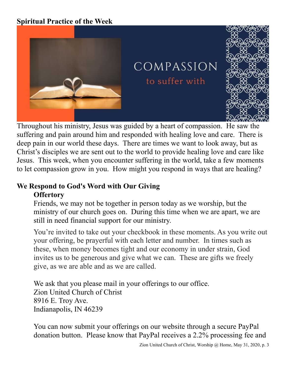## **Spiritual Practice of the Week**



COMPASSION

to suffer with



Throughout his ministry, Jesus was guided by a heart of compassion. He saw the suffering and pain around him and responded with healing love and care. There is deep pain in our world these days. There are times we want to look away, but as Christ's disciples we are sent out to the world to provide healing love and care like Jesus. This week, when you encounter suffering in the world, take a few moments to let compassion grow in you. How might you respond in ways that are healing?

## **We Respond to God's Word with Our Giving Offertory**

Friends, we may not be together in person today as we worship, but the ministry of our church goes on. During this time when we are apart, we are still in need financial support for our ministry.

You're invited to take out your checkbook in these moments. As you write out your offering, be prayerful with each letter and number. In times such as these, when money becomes tight and our economy in under strain, God invites us to be generous and give what we can. These are gifts we freely give, as we are able and as we are called.

We ask that you please mail in your offerings to our office. Zion United Church of Christ 8916 E. Troy Ave. Indianapolis, IN 46239

You can now submit your offerings on our website through a secure PayPal donation button. Please know that PayPal receives a 2.2% processing fee and